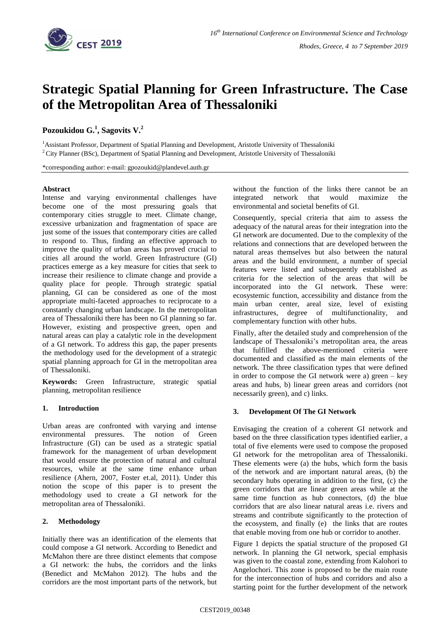

# **Strategic Spatial Planning for Green Infrastructure. The Case of the Metropolitan Area of Thessaloniki**

# **Pozoukidou G.<sup>1</sup> , Sagovits V. 2**

<sup>1</sup>Assistant Professor, Department of Spatial Planning and Development, Aristotle University of Thessaloniki <sup>2</sup> City Planner (BSc), Department of Spatial Planning and Development, Aristotle University of Thessaloniki

\*corresponding author: e-mail: gpozoukid@plandevel.auth.gr

## **Abstract**

Intense and varying environmental challenges have become one of the most pressuring goals that contemporary cities struggle to meet. Climate change, excessive urbanization and fragmentation of space are just some of the issues that contemporary cities are called to respond to. Thus, finding an effective approach to improve the quality of urban areas has proved crucial to cities all around the world. Green Infrastructure (GI) practices emerge as a key measure for cities that seek to increase their resilience to climate change and provide a quality place for people. Through strategic spatial planning, GI can be considered as one of the most appropriate multi-faceted approaches to reciprocate to a constantly changing urban landscape. In the metropolitan area of Thessaloniki there has been no GI planning so far. However, existing and prospective green, open and natural areas can play a catalytic role in the development of a GI network. To address this gap, the paper presents the methodology used for the development of a strategic spatial planning approach for GI in the metropolitan area of Thessaloniki.

**Keywords:** Green Infrastructure, strategic spatial planning, metropolitan resilience

## **1. Introduction**

Urban areas are confronted with varying and intense environmental pressures. The notion of Green Infrastructure (GI) can be used as a strategic spatial framework for the management of urban development that would ensure the protection of natural and cultural resources, while at the same time enhance urban resilience (Ahern, 2007, Foster et.al, 2011). Under this notion the scope of this paper is to present the methodology used to create a GI network for the metropolitan area of Thessaloniki.

# **2. Methodology**

Initially there was an identification of the elements that could compose a GI network. According to Benedict and McMahon there are three distinct elements that compose a GI network: the hubs, the corridors and the links (Benedict and McMahon 2012). The hubs and the corridors are the most important parts of the network, but without the function of the links there cannot be an integrated network that would maximize the environmental and societal benefits of GI.

Consequently, special criteria that aim to assess the adequacy of the natural areas for their integration into the GI network are documented. Due to the complexity of the relations and connections that are developed between the natural areas themselves but also between the natural areas and the build environment, a number of special features were listed and subsequently established as criteria for the selection of the areas that will be incorporated into the GI network. These were: ecosystemic function, accessibility and distance from the main urban center, areal size, level of existing infrastructures, degree of multifunctionality, and complementary function with other hubs.

Finally, after the detailed study and comprehension of the landscape of Thessaloniki's metropolitan area, the areas that fulfilled the above-mentioned criteria were documented and classified as the main elements of the network. The three classification types that were defined in order to compose the GI network were a) green  $-$  key areas and hubs, b) linear green areas and corridors (not necessarily green), and c) links.

#### **3. Development Of The GI Network**

Envisaging the creation of a coherent GI network and based on the three classification types identified earlier, a total of five elements were used to compose the proposed GI network for the metropolitan area of Thessaloniki. These elements were (a) the hubs, which form the basis of the network and are important natural areas, (b) the secondary hubs operating in addition to the first, (c) the green corridors that are linear green areas while at the same time function as hub connectors, (d) the blue corridors that are also linear natural areas i.e. rivers and streams and contribute significantly to the protection of the ecosystem, and finally (e) the links that are routes that enable moving from one hub or corridor to another.

Figure 1 depicts the spatial structure of the proposed GI network. In planning the GI network, special emphasis was given to the coastal zone, extending from Kalohori to Angelochori. This zone is proposed to be the main route for the interconnection of hubs and corridors and also a starting point for the further development of the network